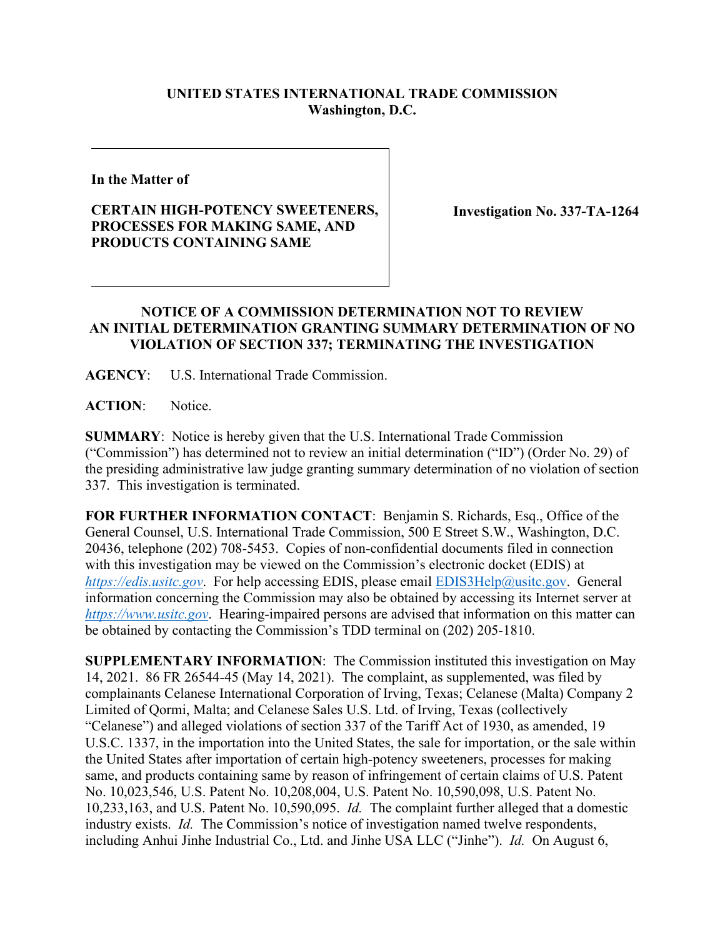## **UNITED STATES INTERNATIONAL TRADE COMMISSION Washington, D.C.**

**In the Matter of**

## **CERTAIN HIGH-POTENCY SWEETENERS, PROCESSES FOR MAKING SAME, AND PRODUCTS CONTAINING SAME**

**Investigation No. 337-TA-1264**

## **NOTICE OF A COMMISSION DETERMINATION NOT TO REVIEW AN INITIAL DETERMINATION GRANTING SUMMARY DETERMINATION OF NO VIOLATION OF SECTION 337; TERMINATING THE INVESTIGATION**

**AGENCY**: U.S. International Trade Commission.

**ACTION**: Notice.

**SUMMARY**: Notice is hereby given that the U.S. International Trade Commission ("Commission") has determined not to review an initial determination ("ID") (Order No. 29) of the presiding administrative law judge granting summary determination of no violation of section 337. This investigation is terminated.

**FOR FURTHER INFORMATION CONTACT**: Benjamin S. Richards, Esq., Office of the General Counsel, U.S. International Trade Commission, 500 E Street S.W., Washington, D.C. 20436, telephone (202) 708-5453. Copies of non-confidential documents filed in connection with this investigation may be viewed on the Commission's electronic docket (EDIS) at *[https://edis.usitc.gov](https://edis.usitc.gov/).* For help accessing EDIS, please email [EDIS3Help@usitc.gov.](mailto:EDIS3Help@usitc.gov) General information concerning the Commission may also be obtained by accessing its Internet server at *[https://www.usitc.gov](https://www.usitc.gov/)*. Hearing-impaired persons are advised that information on this matter can be obtained by contacting the Commission's TDD terminal on (202) 205-1810.

**SUPPLEMENTARY INFORMATION**: The Commission instituted this investigation on May 14, 2021. 86 FR 26544-45 (May 14, 2021). The complaint, as supplemented, was filed by complainants Celanese International Corporation of Irving, Texas; Celanese (Malta) Company 2 Limited of Qormi, Malta; and Celanese Sales U.S. Ltd. of Irving, Texas (collectively "Celanese") and alleged violations of section 337 of the Tariff Act of 1930, as amended, 19 U.S.C. 1337, in the importation into the United States, the sale for importation, or the sale within the United States after importation of certain high-potency sweeteners, processes for making same, and products containing same by reason of infringement of certain claims of U.S. Patent No. 10,023,546, U.S. Patent No. 10,208,004, U.S. Patent No. 10,590,098, U.S. Patent No. 10,233,163, and U.S. Patent No. 10,590,095. *Id.* The complaint further alleged that a domestic industry exists. *Id.* The Commission's notice of investigation named twelve respondents, including Anhui Jinhe Industrial Co., Ltd. and Jinhe USA LLC ("Jinhe"). *Id.* On August 6,